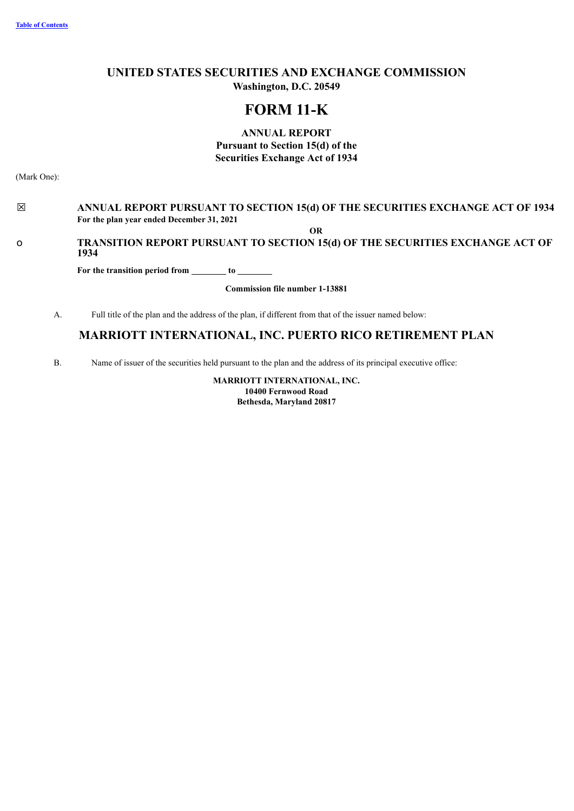## **UNITED STATES SECURITIES AND EXCHANGE COMMISSION Washington, D.C. 20549**

# **FORM 11-K**

**ANNUAL REPORT Pursuant to Section 15(d) of the Securities Exchange Act of 1934**

(Mark One):

## ☒ **ANNUAL REPORT PURSUANT TO SECTION 15(d) OF THE SECURITIES EXCHANGE ACT OF 1934 For the plan year ended December 31, 2021**

**OR**

## o **TRANSITION REPORT PURSUANT TO SECTION 15(d) OF THE SECURITIES EXCHANGE ACT OF 1934**

**For the transition period from to**

**Commission file number 1-13881**

A. Full title of the plan and the address of the plan, if different from that of the issuer named below:

## **MARRIOTT INTERNATIONAL, INC. PUERTO RICO RETIREMENT PLAN**

<span id="page-0-0"></span>B. Name of issuer of the securities held pursuant to the plan and the address of its principal executive office:

**MARRIOTT INTERNATIONAL, INC. 10400 Fernwood Road Bethesda, Maryland 20817**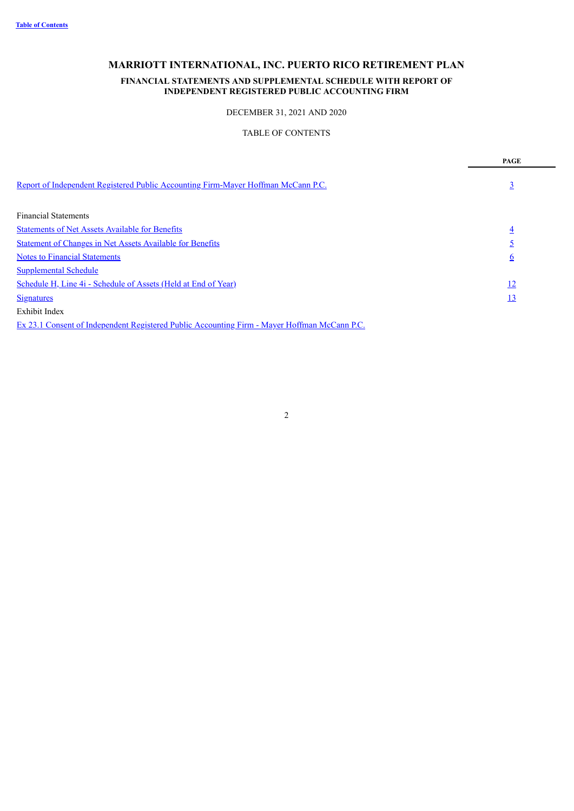## **MARRIOTT INTERNATIONAL, INC. PUERTO RICO RETIREMENT PLAN FINANCIAL STATEMENTS AND SUPPLEMENTAL SCHEDULE WITH REPORT OF INDEPENDENT REGISTERED PUBLIC ACCOUNTING FIRM**

## DECEMBER 31, 2021 AND 2020

## TABLE OF CONTENTS

**PAGE**

<span id="page-1-0"></span>

| Report of Independent Registered Public Accounting Firm-Mayer Hoffman McCann P.C.            | <u>3</u>                |
|----------------------------------------------------------------------------------------------|-------------------------|
| <b>Financial Statements</b>                                                                  |                         |
| <b>Statements of Net Assets Available for Benefits</b>                                       | 4                       |
| <b>Statement of Changes in Net Assets Available for Benefits</b>                             |                         |
| <b>Notes to Financial Statements</b>                                                         | $\overline{\mathbf{o}}$ |
| <b>Supplemental Schedule</b>                                                                 |                         |
| Schedule H, Line 4i - Schedule of Assets (Held at End of Year)                               | 12                      |
| <b>Signatures</b>                                                                            | <u>13</u>               |
| Exhibit Index                                                                                |                         |
| Ex 23.1 Consent of Independent Registered Public Accounting Firm - Mayer Hoffman McCann P.C. |                         |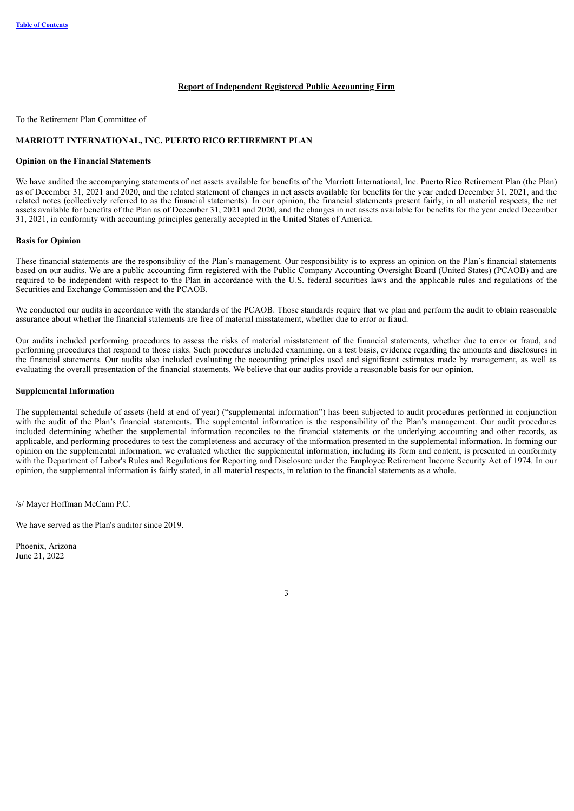#### **Report of Independent Registered Public Accounting Firm**

To the Retirement Plan Committee of

#### **MARRIOTT INTERNATIONAL, INC. PUERTO RICO RETIREMENT PLAN**

#### **Opinion on the Financial Statements**

We have audited the accompanying statements of net assets available for benefits of the Marriott International, Inc. Puerto Rico Retirement Plan (the Plan) as of December 31, 2021 and 2020, and the related statement of changes in net assets available for benefits for the year ended December 31, 2021, and the related notes (collectively referred to as the financial statements). In our opinion, the financial statements present fairly, in all material respects, the net assets available for benefits of the Plan as of December 31, 2021 and 2020, and the changes in net assets available for benefits for the year ended December 31, 2021, in conformity with accounting principles generally accepted in the United States of America.

### **Basis for Opinion**

These financial statements are the responsibility of the Plan's management. Our responsibility is to express an opinion on the Plan's financial statements based on our audits. We are a public accounting firm registered with the Public Company Accounting Oversight Board (United States) (PCAOB) and are required to be independent with respect to the Plan in accordance with the U.S. federal securities laws and the applicable rules and regulations of the Securities and Exchange Commission and the PCAOB.

We conducted our audits in accordance with the standards of the PCAOB. Those standards require that we plan and perform the audit to obtain reasonable assurance about whether the financial statements are free of material misstatement, whether due to error or fraud.

Our audits included performing procedures to assess the risks of material misstatement of the financial statements, whether due to error or fraud, and performing procedures that respond to those risks. Such procedures included examining, on a test basis, evidence regarding the amounts and disclosures in the financial statements. Our audits also included evaluating the accounting principles used and significant estimates made by management, as well as evaluating the overall presentation of the financial statements. We believe that our audits provide a reasonable basis for our opinion.

#### **Supplemental Information**

The supplemental schedule of assets (held at end of year) ("supplemental information") has been subjected to audit procedures performed in conjunction with the audit of the Plan's financial statements. The supplemental information is the responsibility of the Plan's management. Our audit procedures included determining whether the supplemental information reconciles to the financial statements or the underlying accounting and other records, as applicable, and performing procedures to test the completeness and accuracy of the information presented in the supplemental information. In forming our opinion on the supplemental information, we evaluated whether the supplemental information, including its form and content, is presented in conformity with the Department of Labor's Rules and Regulations for Reporting and Disclosure under the Employee Retirement Income Security Act of 1974. In our opinion, the supplemental information is fairly stated, in all material respects, in relation to the financial statements as a whole.

/s/ Mayer Hoffman McCann P.C.

We have served as the Plan's auditor since 2019.

<span id="page-2-0"></span>Phoenix, Arizona June 21, 2022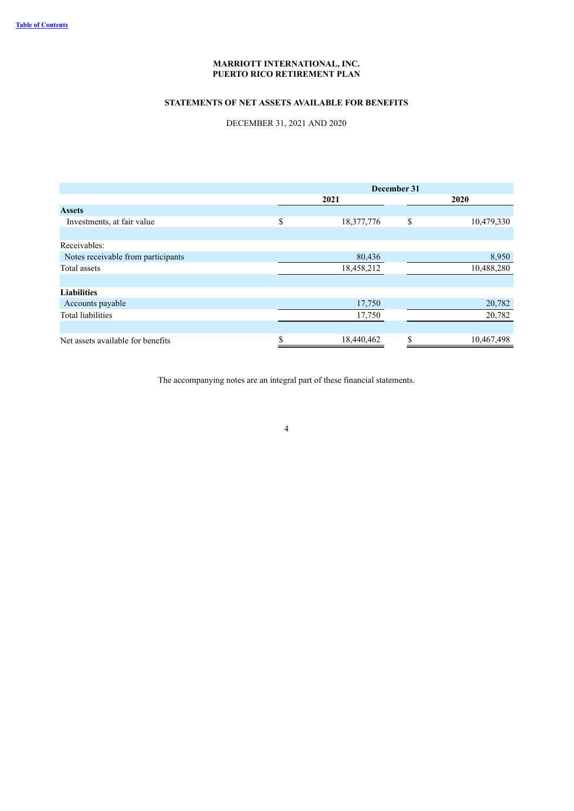## **MARRIOTT INTERNATIONAL, INC. PUERTO RICO RETIREMENT PLAN**

## **STATEMENTS OF NET ASSETS AVAILABLE FOR BENEFITS**

DECEMBER 31, 2021 AND 2020

|                                    |    | December 31 |      |            |  |
|------------------------------------|----|-------------|------|------------|--|
|                                    |    | 2021        | 2020 |            |  |
| <b>Assets</b>                      |    |             |      |            |  |
| Investments, at fair value         | \$ | 18,377,776  | \$   | 10,479,330 |  |
|                                    |    |             |      |            |  |
| Receivables:                       |    |             |      |            |  |
| Notes receivable from participants |    | 80,436      |      | 8,950      |  |
| Total assets                       |    | 18,458,212  |      | 10,488,280 |  |
|                                    |    |             |      |            |  |
| <b>Liabilities</b>                 |    |             |      |            |  |
| Accounts payable                   |    | 17,750      |      | 20,782     |  |
| <b>Total liabilities</b>           |    | 17,750      |      | 20,782     |  |
|                                    |    |             |      |            |  |
| Net assets available for benefits  | S  | 18,440,462  | \$   | 10,467,498 |  |
|                                    |    |             |      |            |  |

<span id="page-3-0"></span>The accompanying notes are an integral part of these financial statements.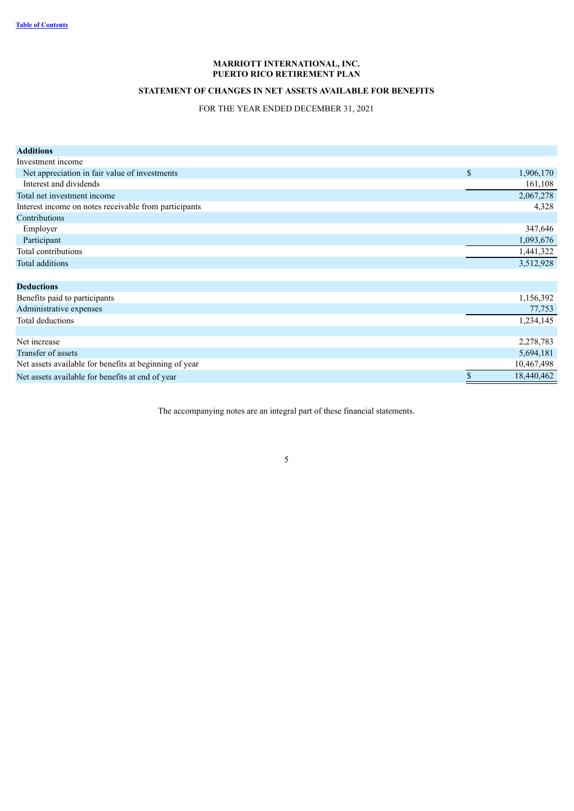## **MARRIOTT INTERNATIONAL, INC. PUERTO RICO RETIREMENT PLAN**

## **STATEMENT OF CHANGES IN NET ASSETS AVAILABLE FOR BENEFITS**

FOR THE YEAR ENDED DECEMBER 31, 2021

| <b>Additions</b>                                       |              |            |
|--------------------------------------------------------|--------------|------------|
| Investment income                                      |              |            |
| Net appreciation in fair value of investments          | $\mathbf{s}$ | 1,906,170  |
| Interest and dividends                                 |              | 161,108    |
| Total net investment income                            |              | 2,067,278  |
| Interest income on notes receivable from participants  |              | 4,328      |
| Contributions                                          |              |            |
| Employer                                               |              | 347,646    |
| Participant                                            |              | 1,093,676  |
| Total contributions                                    |              | 1,441,322  |
| <b>Total additions</b>                                 |              | 3,512,928  |
|                                                        |              |            |
| <b>Deductions</b>                                      |              |            |
| Benefits paid to participants                          |              | 1,156,392  |
| Administrative expenses                                |              | 77,753     |
| Total deductions                                       |              | 1,234,145  |
|                                                        |              |            |
| Net increase                                           |              | 2,278,783  |
| Transfer of assets                                     |              | 5,694,181  |
| Net assets available for benefits at beginning of year |              | 10,467,498 |
| Net assets available for benefits at end of year       | \$           | 18,440,462 |

<span id="page-4-0"></span>The accompanying notes are an integral part of these financial statements.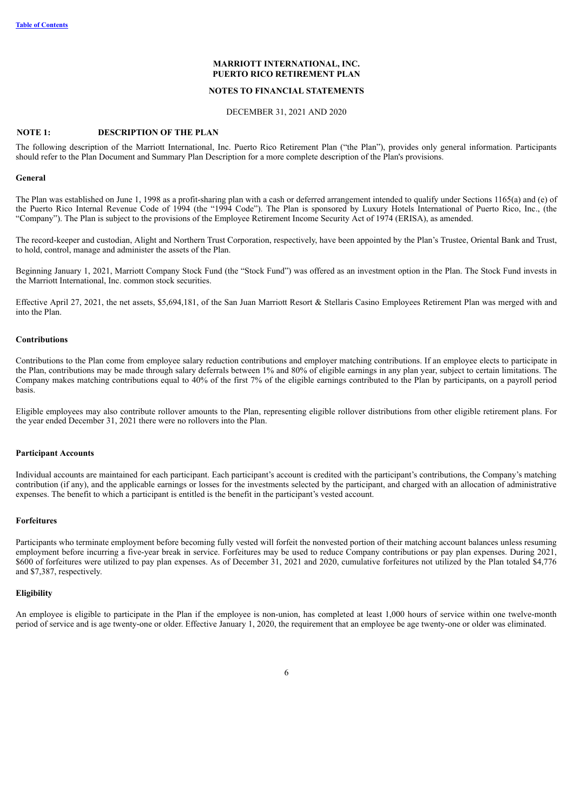## **MARRIOTT INTERNATIONAL, INC. PUERTO RICO RETIREMENT PLAN**

#### **NOTES TO FINANCIAL STATEMENTS**

DECEMBER 31, 2021 AND 2020

## **NOTE 1: DESCRIPTION OF THE PLAN**

The following description of the Marriott International, Inc. Puerto Rico Retirement Plan ("the Plan"), provides only general information. Participants should refer to the Plan Document and Summary Plan Description for a more complete description of the Plan's provisions.

#### **General**

The Plan was established on June 1, 1998 as a profit-sharing plan with a cash or deferred arrangement intended to qualify under Sections 1165(a) and (e) of the Puerto Rico Internal Revenue Code of 1994 (the "1994 Code"). The Plan is sponsored by Luxury Hotels International of Puerto Rico, Inc., (the "Company"). The Plan is subject to the provisions of the Employee Retirement Income Security Act of 1974 (ERISA), as amended.

The record-keeper and custodian, Alight and Northern Trust Corporation, respectively, have been appointed by the Plan's Trustee, Oriental Bank and Trust, to hold, control, manage and administer the assets of the Plan.

Beginning January 1, 2021, Marriott Company Stock Fund (the "Stock Fund") was offered as an investment option in the Plan. The Stock Fund invests in the Marriott International, Inc. common stock securities.

Effective April 27, 2021, the net assets, \$5,694,181, of the San Juan Marriott Resort & Stellaris Casino Employees Retirement Plan was merged with and into the Plan.

### **Contributions**

Contributions to the Plan come from employee salary reduction contributions and employer matching contributions. If an employee elects to participate in the Plan, contributions may be made through salary deferrals between 1% and 80% of eligible earnings in any plan year, subject to certain limitations. The Company makes matching contributions equal to 40% of the first 7% of the eligible earnings contributed to the Plan by participants, on a payroll period basis.

Eligible employees may also contribute rollover amounts to the Plan, representing eligible rollover distributions from other eligible retirement plans. For the year ended December 31, 2021 there were no rollovers into the Plan.

#### **Participant Accounts**

Individual accounts are maintained for each participant. Each participant's account is credited with the participant's contributions, the Company's matching contribution (if any), and the applicable earnings or losses for the investments selected by the participant, and charged with an allocation of administrative expenses. The benefit to which a participant is entitled is the benefit in the participant's vested account.

### **Forfeitures**

Participants who terminate employment before becoming fully vested will forfeit the nonvested portion of their matching account balances unless resuming employment before incurring a five-year break in service. Forfeitures may be used to reduce Company contributions or pay plan expenses. During 2021, \$600 of forfeitures were utilized to pay plan expenses. As of December 31, 2021 and 2020, cumulative forfeitures not utilized by the Plan totaled \$4,776 and \$7,387, respectively.

### **Eligibility**

An employee is eligible to participate in the Plan if the employee is non-union, has completed at least 1,000 hours of service within one twelve-month period of service and is age twenty-one or older. Effective January 1, 2020, the requirement that an employee be age twenty-one or older was eliminated.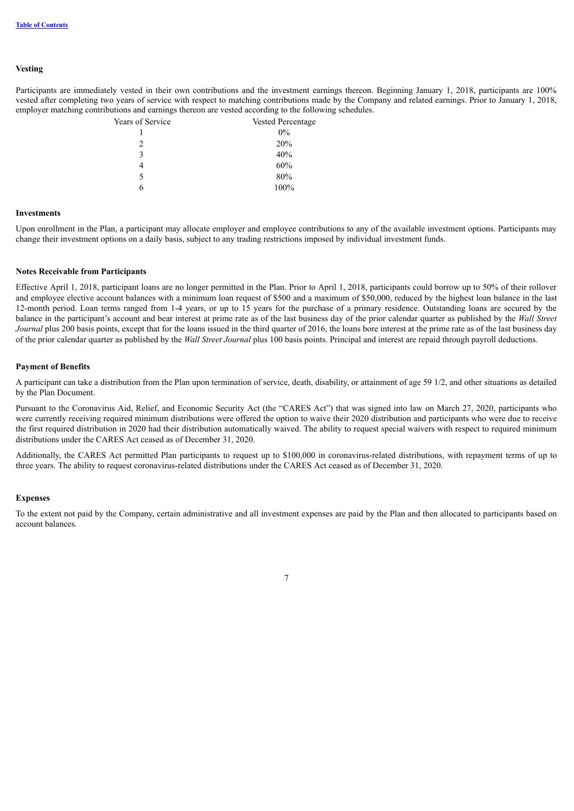#### **Vesting**

Participants are immediately vested in their own contributions and the investment earnings thereon. Beginning January 1, 2018, participants are 100% vested after completing two years of service with respect to matching contributions made by the Company and related earnings. Prior to January 1, 2018, employer matching contributions and earnings thereon are vested according to the following schedules.

| <b>Years of Service</b> | <b>Vested Percentage</b> |
|-------------------------|--------------------------|
|                         | $0\%$                    |
| $\mathfrak{D}$          | 20%                      |
| 3                       | 40%                      |
| 4                       | 60%                      |
| 5                       | 80%                      |
|                         | 100%                     |
|                         |                          |

#### **Investments**

Upon enrollment in the Plan, a participant may allocate employer and employee contributions to any of the available investment options. Participants may change their investment options on a daily basis, subject to any trading restrictions imposed by individual investment funds.

#### **Notes Receivable from Participants**

Effective April 1, 2018, participant loans are no longer permitted in the Plan. Prior to April 1, 2018, participants could borrow up to 50% of their rollover and employee elective account balances with a minimum loan request of \$500 and a maximum of \$50,000, reduced by the highest loan balance in the last 12-month period. Loan terms ranged from 1-4 years, or up to 15 years for the purchase of a primary residence. Outstanding loans are secured by the balance in the participant's account and bear interest at prime rate as of the last business day of the prior calendar quarter as published by the *Wall Street Journal* plus 200 basis points, except that for the loans issued in the third quarter of 2016, the loans bore interest at the prime rate as of the last business day of the prior calendar quarter as published by the *Wall Street Journal* plus 100 basis points. Principal and interest are repaid through payroll deductions.

#### **Payment of Benefits**

A participant can take a distribution from the Plan upon termination of service, death, disability, or attainment of age 59 1/2, and other situations as detailed by the Plan Document.

Pursuant to the Coronavirus Aid, Relief, and Economic Security Act (the "CARES Act") that was signed into law on March 27, 2020, participants who were currently receiving required minimum distributions were offered the option to waive their 2020 distribution and participants who were due to receive the first required distribution in 2020 had their distribution automatically waived. The ability to request special waivers with respect to required minimum distributions under the CARES Act ceased as of December 31, 2020.

Additionally, the CARES Act permitted Plan participants to request up to \$100,000 in coronavirus-related distributions, with repayment terms of up to three years. The ability to request coronavirus-related distributions under the CARES Act ceased as of December 31, 2020.

### **Expenses**

To the extent not paid by the Company, certain administrative and all investment expenses are paid by the Plan and then allocated to participants based on account balances.

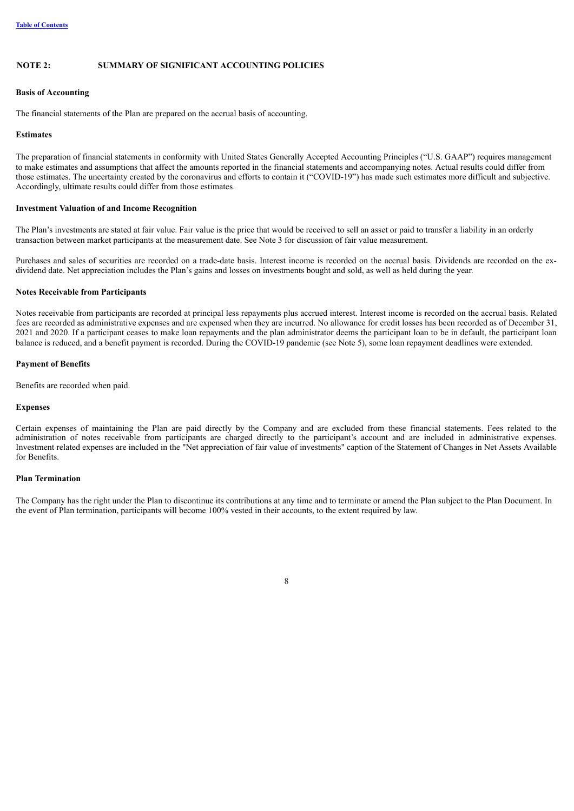## **NOTE 2: SUMMARY OF SIGNIFICANT ACCOUNTING POLICIES**

### **Basis of Accounting**

The financial statements of the Plan are prepared on the accrual basis of accounting.

#### **Estimates**

The preparation of financial statements in conformity with United States Generally Accepted Accounting Principles ("U.S. GAAP") requires management to make estimates and assumptions that affect the amounts reported in the financial statements and accompanying notes. Actual results could differ from those estimates. The uncertainty created by the coronavirus and efforts to contain it ("COVID-19") has made such estimates more difficult and subjective. Accordingly, ultimate results could differ from those estimates.

### **Investment Valuation of and Income Recognition**

The Plan's investments are stated at fair value. Fair value is the price that would be received to sell an asset or paid to transfer a liability in an orderly transaction between market participants at the measurement date. See Note 3 for discussion of fair value measurement.

Purchases and sales of securities are recorded on a trade-date basis. Interest income is recorded on the accrual basis. Dividends are recorded on the exdividend date. Net appreciation includes the Plan's gains and losses on investments bought and sold, as well as held during the year.

### **Notes Receivable from Participants**

Notes receivable from participants are recorded at principal less repayments plus accrued interest. Interest income is recorded on the accrual basis. Related fees are recorded as administrative expenses and are expensed when they are incurred. No allowance for credit losses has been recorded as of December 31, 2021 and 2020. If a participant ceases to make loan repayments and the plan administrator deems the participant loan to be in default, the participant loan balance is reduced, and a benefit payment is recorded. During the COVID-19 pandemic (see Note 5), some loan repayment deadlines were extended.

### **Payment of Benefits**

Benefits are recorded when paid.

### **Expenses**

Certain expenses of maintaining the Plan are paid directly by the Company and are excluded from these financial statements. Fees related to the administration of notes receivable from participants are charged directly to the participant's account and are included in administrative expenses. Investment related expenses are included in the "Net appreciation of fair value of investments" caption of the Statement of Changes in Net Assets Available for Benefits.

### **Plan Termination**

The Company has the right under the Plan to discontinue its contributions at any time and to terminate or amend the Plan subject to the Plan Document. In the event of Plan termination, participants will become 100% vested in their accounts, to the extent required by law.

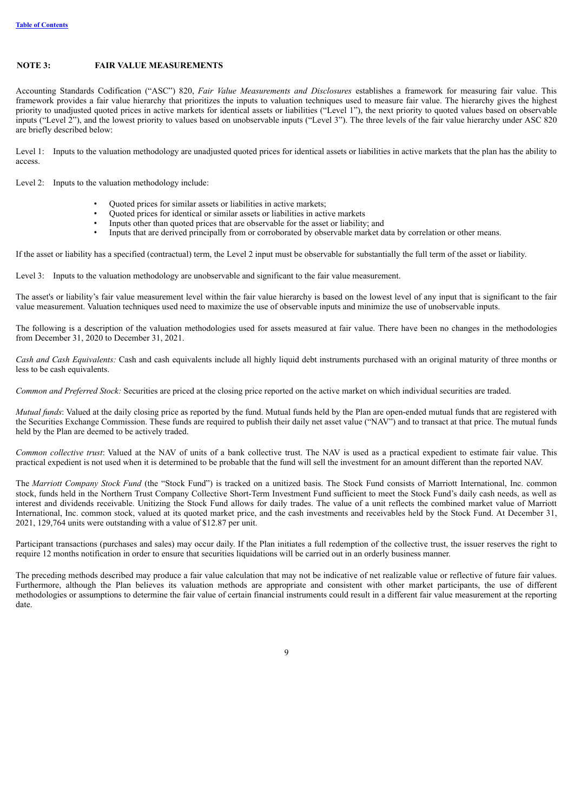### **NOTE 3: FAIR VALUE MEASUREMENTS**

Accounting Standards Codification ("ASC") 820, *Fair Value Measurements and Disclosures* establishes a framework for measuring fair value. This framework provides a fair value hierarchy that prioritizes the inputs to valuation techniques used to measure fair value. The hierarchy gives the highest priority to unadjusted quoted prices in active markets for identical assets or liabilities ("Level 1"), the next priority to quoted values based on observable inputs ("Level 2"), and the lowest priority to values based on unobservable inputs ("Level 3"). The three levels of the fair value hierarchy under ASC 820 are briefly described below:

Level 1: Inputs to the valuation methodology are unadjusted quoted prices for identical assets or liabilities in active markets that the plan has the ability to access.

Level 2: Inputs to the valuation methodology include:

- Quoted prices for similar assets or liabilities in active markets;
- Quoted prices for identical or similar assets or liabilities in active markets
- Inputs other than quoted prices that are observable for the asset or liability; and
- Inputs that are derived principally from or corroborated by observable market data by correlation or other means.

If the asset or liability has a specified (contractual) term, the Level 2 input must be observable for substantially the full term of the asset or liability.

Level 3: Inputs to the valuation methodology are unobservable and significant to the fair value measurement.

The asset's or liability's fair value measurement level within the fair value hierarchy is based on the lowest level of any input that is significant to the fair value measurement. Valuation techniques used need to maximize the use of observable inputs and minimize the use of unobservable inputs.

The following is a description of the valuation methodologies used for assets measured at fair value. There have been no changes in the methodologies from December 31, 2020 to December 31, 2021.

*Cash and Cash Equivalents:* Cash and cash equivalents include all highly liquid debt instruments purchased with an original maturity of three months or less to be cash equivalents.

*Common and Preferred Stock:* Securities are priced at the closing price reported on the active market on which individual securities are traded.

*Mutual funds*: Valued at the daily closing price as reported by the fund. Mutual funds held by the Plan are open-ended mutual funds that are registered with the Securities Exchange Commission. These funds are required to publish their daily net asset value ("NAV") and to transact at that price. The mutual funds held by the Plan are deemed to be actively traded.

*Common collective trust*: Valued at the NAV of units of a bank collective trust. The NAV is used as a practical expedient to estimate fair value. This practical expedient is not used when it is determined to be probable that the fund will sell the investment for an amount different than the reported NAV.

The *Marriott Company Stock Fund* (the "Stock Fund") is tracked on a unitized basis. The Stock Fund consists of Marriott International, Inc. common stock, funds held in the Northern Trust Company Collective Short-Term Investment Fund sufficient to meet the Stock Fund's daily cash needs, as well as interest and dividends receivable. Unitizing the Stock Fund allows for daily trades. The value of a unit reflects the combined market value of Marriott International, Inc. common stock, valued at its quoted market price, and the cash investments and receivables held by the Stock Fund. At December 31, 2021, 129,764 units were outstanding with a value of \$12.87 per unit.

Participant transactions (purchases and sales) may occur daily. If the Plan initiates a full redemption of the collective trust, the issuer reserves the right to require 12 months notification in order to ensure that securities liquidations will be carried out in an orderly business manner.

The preceding methods described may produce a fair value calculation that may not be indicative of net realizable value or reflective of future fair values. Furthermore, although the Plan believes its valuation methods are appropriate and consistent with other market participants, the use of different methodologies or assumptions to determine the fair value of certain financial instruments could result in a different fair value measurement at the reporting date.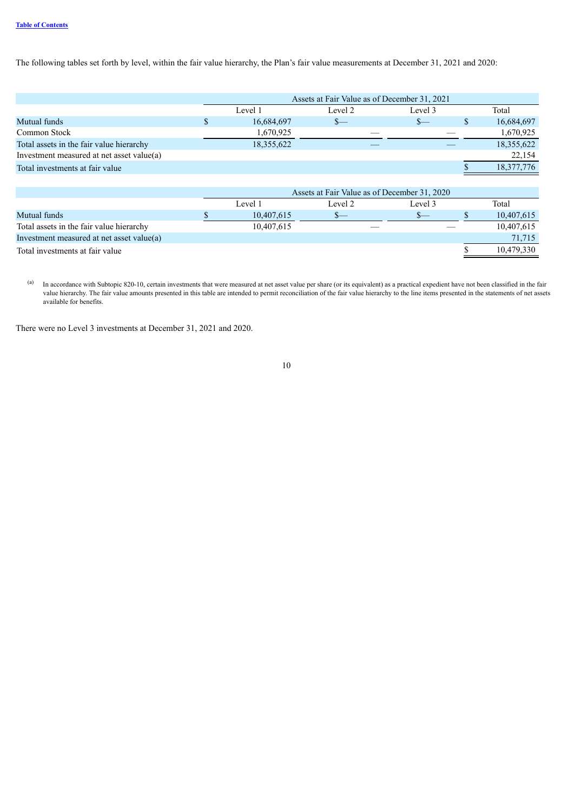The following tables set forth by level, within the fair value hierarchy, the Plan's fair value measurements at December 31, 2021 and 2020:

|                                           | Assets at Fair Value as of December 31, 2021 |         |         |  |            |
|-------------------------------------------|----------------------------------------------|---------|---------|--|------------|
|                                           | Level 1                                      | Level 2 | Level 3 |  | Total      |
| Mutual funds                              | 16,684,697                                   | $S-$    | $S-$    |  | 16,684,697 |
| Common Stock                              | 1,670,925                                    |         |         |  | 1,670,925  |
| Total assets in the fair value hierarchy  | 18,355,622                                   |         |         |  | 18,355,622 |
| Investment measured at net asset value(a) |                                              |         |         |  | 22,154     |
| Total investments at fair value           |                                              |         |         |  | 18,377,776 |

|                                           | Assets at Fair Value as of December 31, 2020 |         |         |  |            |
|-------------------------------------------|----------------------------------------------|---------|---------|--|------------|
|                                           | Level 1                                      | Level 2 | Level 3 |  | Total      |
| Mutual funds                              | 10,407,615                                   | S—      | $S-$    |  | 10,407,615 |
| Total assets in the fair value hierarchy  | 10,407,615                                   |         |         |  | 10,407,615 |
| Investment measured at net asset value(a) |                                              |         |         |  | 71.715     |
| Total investments at fair value           |                                              |         |         |  | 10.479.330 |

In accordance with Subtopic 820-10, certain investments that were measured at net asset value per share (or its equivalent) as a practical expedient have not been classified in the fair value hierarchy. The fair value amounts presented in this table are intended to permit reconciliation of the fair value hierarchy to the line items presented in the statements of net assets value hierarchy. The fair value available for benefits. (a)

There were no Level 3 investments at December 31, 2021 and 2020.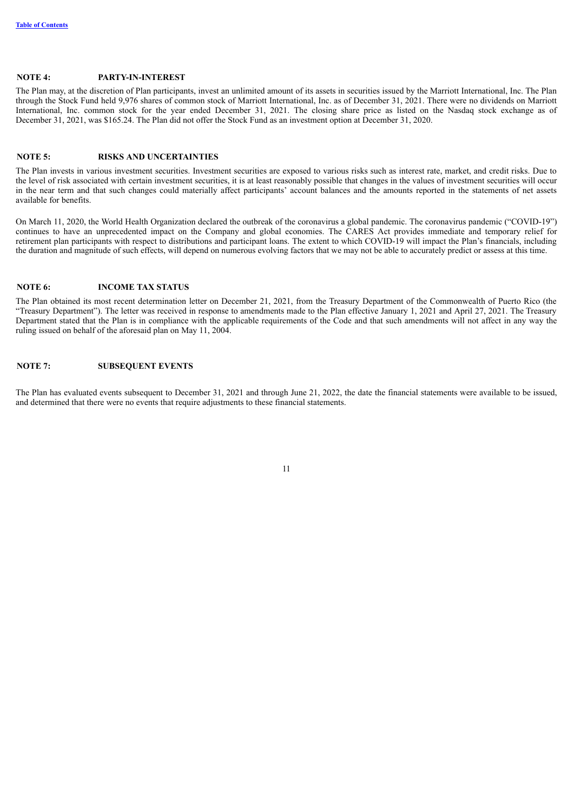#### **NOTE 4: PARTY-IN-INTEREST**

The Plan may, at the discretion of Plan participants, invest an unlimited amount of its assets in securities issued by the Marriott International, Inc. The Plan through the Stock Fund held 9,976 shares of common stock of Marriott International, Inc. as of December 31, 2021. There were no dividends on Marriott International, Inc. common stock for the year ended December 31, 2021. The closing share price as listed on the Nasdaq stock exchange as of December 31, 2021, was \$165.24. The Plan did not offer the Stock Fund as an investment option at December 31, 2020.

#### **NOTE 5: RISKS AND UNCERTAINTIES**

The Plan invests in various investment securities. Investment securities are exposed to various risks such as interest rate, market, and credit risks. Due to the level of risk associated with certain investment securities, it is at least reasonably possible that changes in the values of investment securities will occur in the near term and that such changes could materially affect participants' account balances and the amounts reported in the statements of net assets available for benefits.

On March 11, 2020, the World Health Organization declared the outbreak of the coronavirus a global pandemic. The coronavirus pandemic ("COVID-19") continues to have an unprecedented impact on the Company and global economies. The CARES Act provides immediate and temporary relief for retirement plan participants with respect to distributions and participant loans. The extent to which COVID-19 will impact the Plan's financials, including the duration and magnitude of such effects, will depend on numerous evolving factors that we may not be able to accurately predict or assess at this time.

### **NOTE 6: INCOME TAX STATUS**

The Plan obtained its most recent determination letter on December 21, 2021, from the Treasury Department of the Commonwealth of Puerto Rico (the "Treasury Department"). The letter was received in response to amendments made to the Plan effective January 1, 2021 and April 27, 2021. The Treasury Department stated that the Plan is in compliance with the applicable requirements of the Code and that such amendments will not affect in any way the ruling issued on behalf of the aforesaid plan on May 11, 2004.

## **NOTE 7: SUBSEQUENT EVENTS**

<span id="page-10-0"></span>The Plan has evaluated events subsequent to December 31, 2021 and through June 21, 2022, the date the financial statements were available to be issued, and determined that there were no events that require adjustments to these financial statements.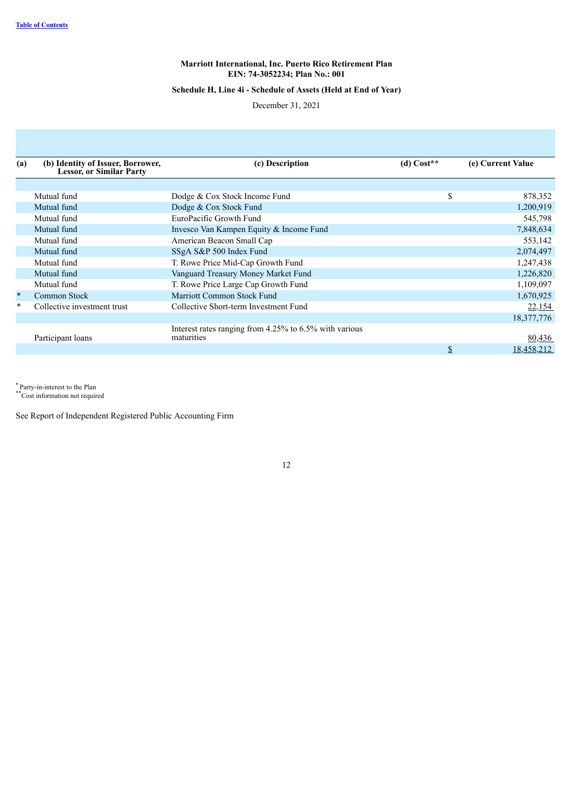## **Marriott International, Inc. Puerto Rico Retirement Plan EIN: 74-3052234; Plan No.: 001**

## **Schedule H, Line 4i - Schedule of Assets (Held at End of Year)**

December 31, 2021

| (a)     | (b) Identity of Issuer, Borrower,<br><b>Lessor, or Similar Party</b> | (c) Description                                        | (d) $Cost**$ | (e) Current Value |  |
|---------|----------------------------------------------------------------------|--------------------------------------------------------|--------------|-------------------|--|
|         |                                                                      |                                                        |              |                   |  |
|         | Mutual fund                                                          | Dodge & Cox Stock Income Fund                          | \$           | 878,352           |  |
|         | Mutual fund                                                          | Dodge & Cox Stock Fund                                 |              | 1,200,919         |  |
|         | Mutual fund                                                          | EuroPacific Growth Fund                                |              | 545,798           |  |
|         | Mutual fund                                                          | Invesco Van Kampen Equity & Income Fund                |              | 7,848,634         |  |
|         | Mutual fund                                                          | American Beacon Small Cap                              |              | 553,142           |  |
|         | Mutual fund                                                          | SSgA S&P 500 Index Fund                                |              | 2,074,497         |  |
|         | Mutual fund                                                          | T. Rowe Price Mid-Cap Growth Fund                      |              | 1,247,438         |  |
|         | Mutual fund                                                          | Vanguard Treasury Money Market Fund                    |              | 1,226,820         |  |
|         | Mutual fund                                                          | T. Rowe Price Large Cap Growth Fund                    |              | 1,109,097         |  |
| $\star$ | Common Stock                                                         | Marriott Common Stock Fund                             |              | 1,670,925         |  |
| $\ast$  | Collective investment trust                                          | Collective Short-term Investment Fund                  |              | 22,154            |  |
|         |                                                                      |                                                        |              | 18,377,776        |  |
|         |                                                                      | Interest rates ranging from 4.25% to 6.5% with various |              |                   |  |
|         | Participant loans                                                    | maturities                                             |              | 80,436            |  |
|         |                                                                      |                                                        | \$           | 18,458,212        |  |

Party-in-interest to the Plan Cost information not required \* \*\*

<span id="page-11-0"></span>See Report of Independent Registered Public Accounting Firm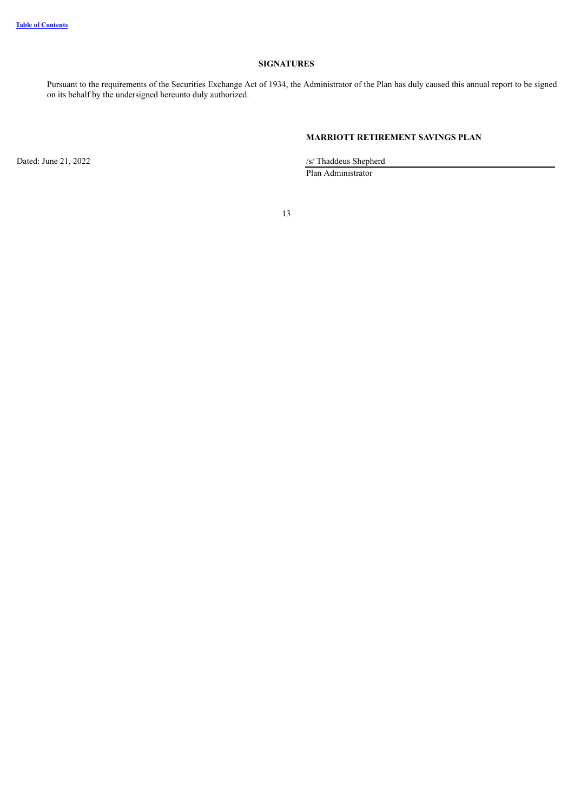## **SIGNATURES**

Pursuant to the requirements of the Securities Exchange Act of 1934, the Administrator of the Plan has duly caused this annual report to be signed on its behalf by the undersigned hereunto duly authorized.

## **MARRIOTT RETIREMENT SAVINGS PLAN**

Dated: June 21, 2022 /s/ Thaddeus Shepherd Plan Administrator